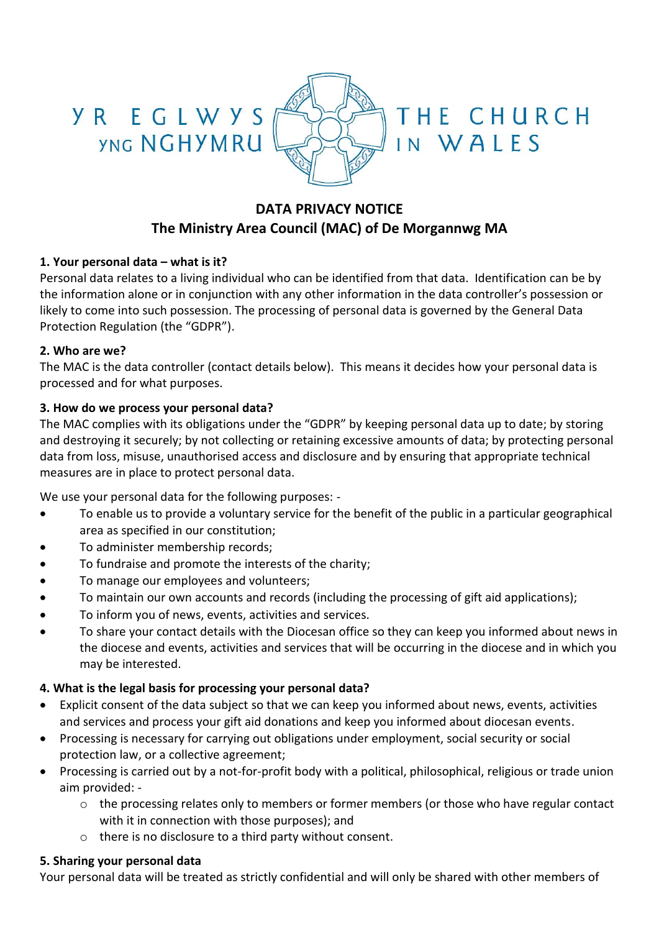

THE CHURCH

IN WALES

# **DATA PRIVACY NOTICE The Ministry Area Council (MAC) of De Morgannwg MA**

#### **1. Your personal data – what is it?**

Personal data relates to a living individual who can be identified from that data. Identification can be by the information alone or in conjunction with any other information in the data controller's possession or likely to come into such possession. The processing of personal data is governed by the General Data Protection Regulation (the "GDPR").

#### **2. Who are we?**

The MAC is the data controller (contact details below). This means it decides how your personal data is processed and for what purposes.

#### **3. How do we process your personal data?**

The MAC complies with its obligations under the "GDPR" by keeping personal data up to date; by storing and destroying it securely; by not collecting or retaining excessive amounts of data; by protecting personal data from loss, misuse, unauthorised access and disclosure and by ensuring that appropriate technical measures are in place to protect personal data.

We use your personal data for the following purposes: -

- To enable us to provide a voluntary service for the benefit of the public in a particular geographical area as specified in our constitution;
- To administer membership records;
- To fundraise and promote the interests of the charity;
- To manage our employees and volunteers;
- To maintain our own accounts and records (including the processing of gift aid applications);
- To inform you of news, events, activities and services.
- To share your contact details with the Diocesan office so they can keep you informed about news in the diocese and events, activities and services that will be occurring in the diocese and in which you may be interested.

#### **4. What is the legal basis for processing your personal data?**

- Explicit consent of the data subject so that we can keep you informed about news, events, activities and services and process your gift aid donations and keep you informed about diocesan events.
- Processing is necessary for carrying out obligations under employment, social security or social protection law, or a collective agreement;
- Processing is carried out by a not-for-profit body with a political, philosophical, religious or trade union aim provided:
	- o the processing relates only to members or former members (or those who have regular contact with it in connection with those purposes); and
	- o there is no disclosure to a third party without consent.

#### **5. Sharing your personal data**

Your personal data will be treated as strictly confidential and will only be shared with other members of